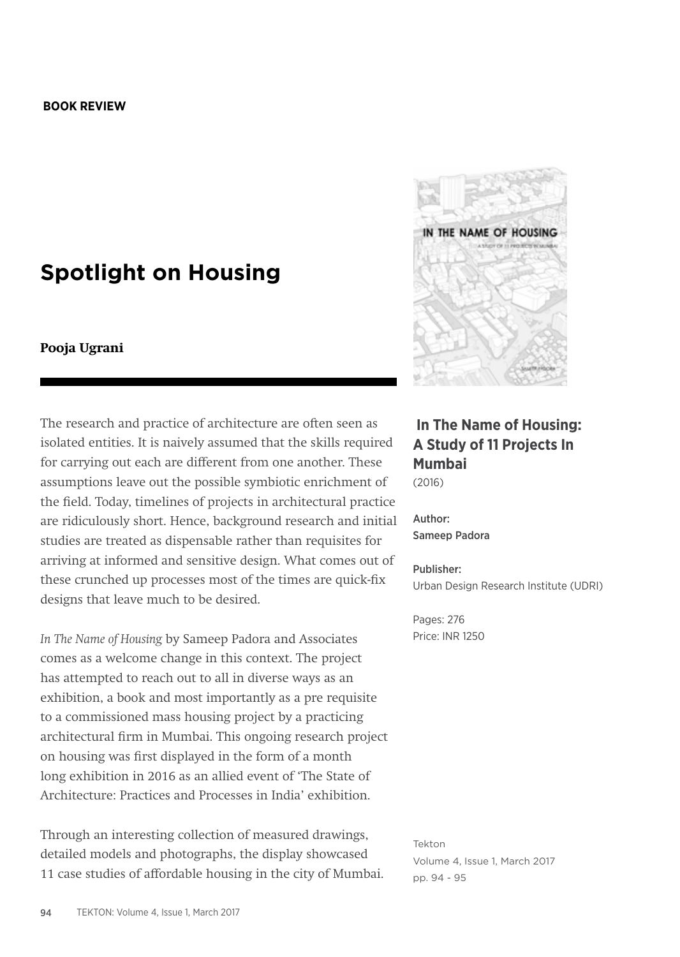#### **BOOK REVIEW**

# **Spotlight on Housing**

### **Pooja Ugrani**

The research and practice of architecture are often seen as isolated entities. It is naively assumed that the skills required for carrying out each are different from one another. These assumptions leave out the possible symbiotic enrichment of the field. Today, timelines of projects in architectural practice are ridiculously short. Hence, background research and initial studies are treated as dispensable rather than requisites for arriving at informed and sensitive design. What comes out of these crunched up processes most of the times are quick-fix designs that leave much to be desired.

*In The Name of Housing* by Sameep Padora and Associates comes as a welcome change in this context. The project has attempted to reach out to all in diverse ways as an exhibition, a book and most importantly as a pre requisite to a commissioned mass housing project by a practicing architectural firm in Mumbai. This ongoing research project on housing was first displayed in the form of a month long exhibition in 2016 as an allied event of 'The State of Architecture: Practices and Processes in India' exhibition.

Through an interesting collection of measured drawings, detailed models and photographs, the display showcased 11 case studies of affordable housing in the city of Mumbai.



## **In The Name of Housing: A Study of 11 Projects In Mumbai** (2016)

Author: Sameep Padora

#### Publisher: Urban Design Research Institute (UDRI)

Pages: 276 Price: INR 1250

Tekton Volume 4, Issue 1, March 2017 pp. 94 - 95